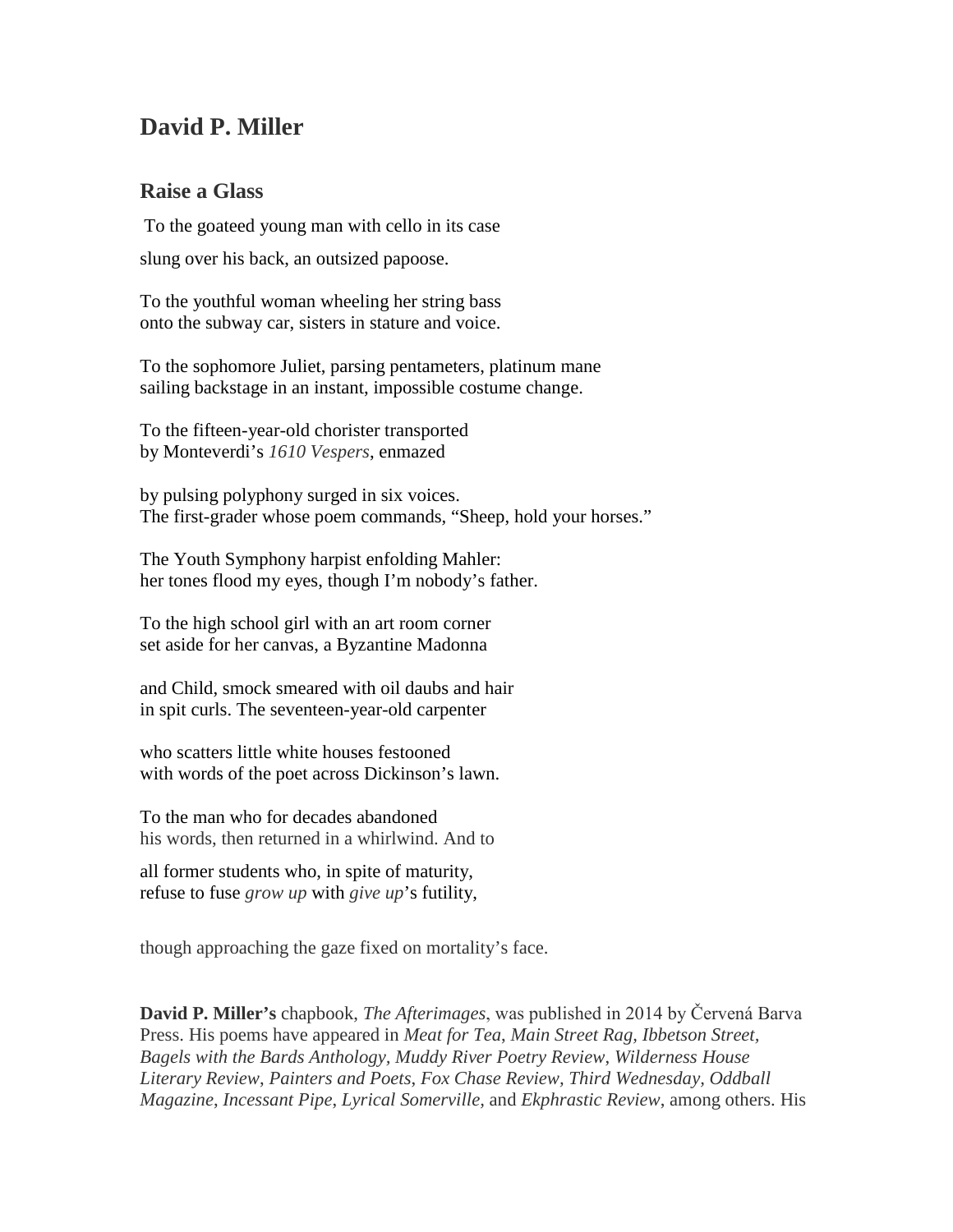## **David P. Miller**

## **Raise a Glass**

To the goateed young man with cello in its case slung over his back, an outsized papoose.

To the youthful woman wheeling her string bass onto the subway car, sisters in stature and voice.

To the sophomore Juliet, parsing pentameters, platinum mane sailing backstage in an instant, impossible costume change.

To the fifteen-year-old chorister transported by Monteverdi's *1610 Vespers*, enmazed

by pulsing polyphony surged in six voices. The first-grader whose poem commands, "Sheep, hold your horses."

The Youth Symphony harpist enfolding Mahler: her tones flood my eyes, though I'm nobody's father.

To the high school girl with an art room corner set aside for her canvas, a Byzantine Madonna

and Child, smock smeared with oil daubs and hair in spit curls. The seventeen-year-old carpenter

who scatters little white houses festooned with words of the poet across Dickinson's lawn.

To the man who for decades abandoned his words, then returned in a whirlwind. And to

all former students who, in spite of maturity, refuse to fuse *grow up* with *give up*'s futility,

though approaching the gaze fixed on mortality's face.

**David P. Miller's** chapbook, *The Afterimages*, was published in 2014 by Červená Barva Press. His poems have appeared in *Meat for Tea*, *Main Street Rag, Ibbetson Street, Bagels with the Bards Anthology, Muddy River Poetry Review*, *Wilderness House Literary Review*, *Painters and Poets*, *Fox Chase Review, Third Wednesday, Oddball Magazine*, *Incessant Pipe*, *Lyrical Somerville,* and *Ekphrastic Review*, among others. His